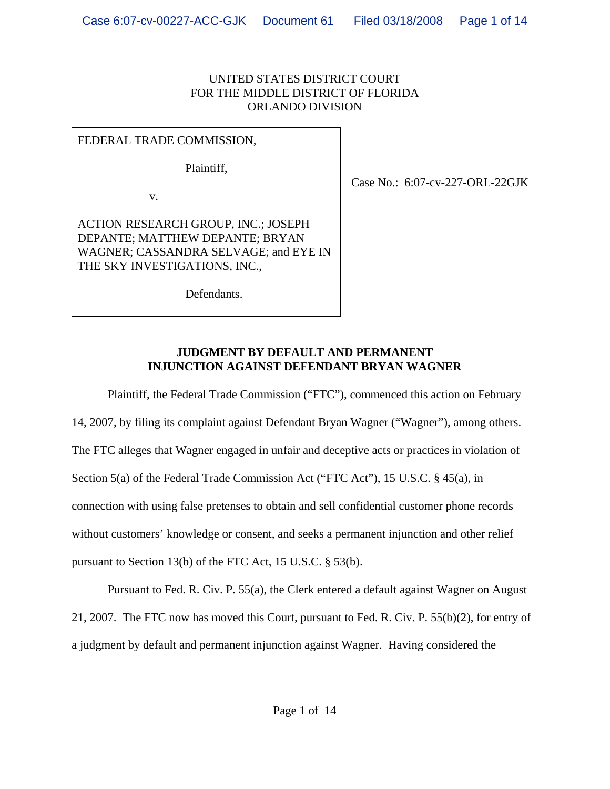#### UNITED STATES DISTRICT COURT FOR THE MIDDLE DISTRICT OF FLORIDA ORLANDO DIVISION

#### FEDERAL TRADE COMMISSION,

Plaintiff,

v.

ACTION RESEARCH GROUP, INC.; JOSEPH DEPANTE; MATTHEW DEPANTE; BRYAN WAGNER; CASSANDRA SELVAGE; and EYE IN THE SKY INVESTIGATIONS, INC.,

Case No.: 6:07-cv-227-ORL-22GJK

Defendants.

#### **JUDGMENT BY DEFAULT AND PERMANENT INJUNCTION AGAINST DEFENDANT BRYAN WAGNER**

Plaintiff, the Federal Trade Commission ("FTC"), commenced this action on February 14, 2007, by filing its complaint against Defendant Bryan Wagner ("Wagner"), among others. The FTC alleges that Wagner engaged in unfair and deceptive acts or practices in violation of Section 5(a) of the Federal Trade Commission Act ("FTC Act"), 15 U.S.C. § 45(a), in connection with using false pretenses to obtain and sell confidential customer phone records without customers' knowledge or consent, and seeks a permanent injunction and other relief pursuant to Section 13(b) of the FTC Act, 15 U.S.C. § 53(b).

Pursuant to Fed. R. Civ. P. 55(a), the Clerk entered a default against Wagner on August 21, 2007. The FTC now has moved this Court, pursuant to Fed. R. Civ. P. 55(b)(2), for entry of a judgment by default and permanent injunction against Wagner. Having considered the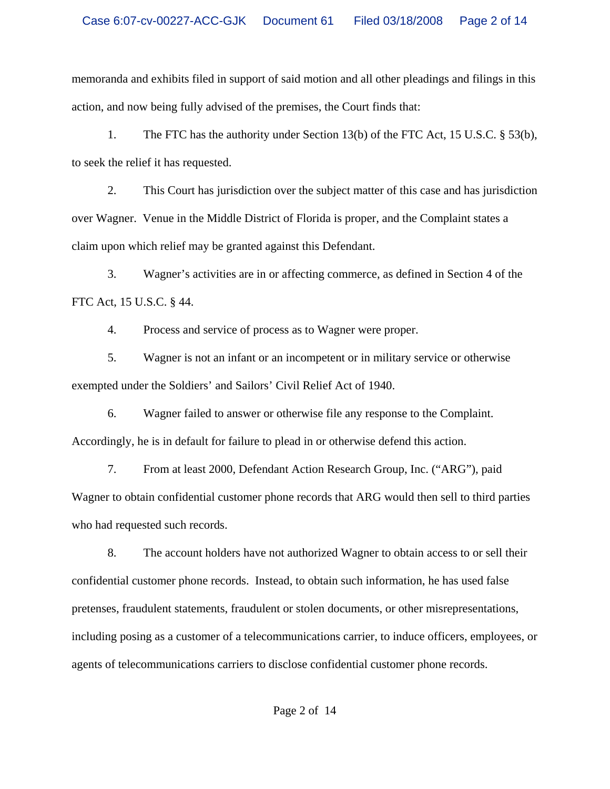memoranda and exhibits filed in support of said motion and all other pleadings and filings in this action, and now being fully advised of the premises, the Court finds that:

1. The FTC has the authority under Section 13(b) of the FTC Act, 15 U.S.C. § 53(b), to seek the relief it has requested.

2. This Court has jurisdiction over the subject matter of this case and has jurisdiction over Wagner. Venue in the Middle District of Florida is proper, and the Complaint states a claim upon which relief may be granted against this Defendant.

3. Wagner's activities are in or affecting commerce, as defined in Section 4 of the FTC Act, 15 U.S.C. § 44.

4. Process and service of process as to Wagner were proper.

5. Wagner is not an infant or an incompetent or in military service or otherwise exempted under the Soldiers' and Sailors' Civil Relief Act of 1940.

6. Wagner failed to answer or otherwise file any response to the Complaint. Accordingly, he is in default for failure to plead in or otherwise defend this action.

7. From at least 2000, Defendant Action Research Group, Inc. ("ARG"), paid Wagner to obtain confidential customer phone records that ARG would then sell to third parties who had requested such records.

8. The account holders have not authorized Wagner to obtain access to or sell their confidential customer phone records. Instead, to obtain such information, he has used false pretenses, fraudulent statements, fraudulent or stolen documents, or other misrepresentations, including posing as a customer of a telecommunications carrier, to induce officers, employees, or agents of telecommunications carriers to disclose confidential customer phone records.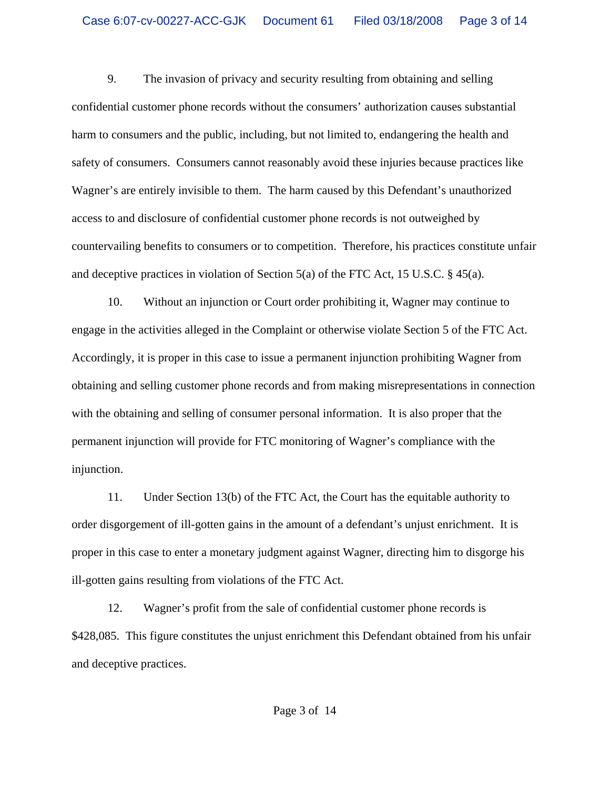9. The invasion of privacy and security resulting from obtaining and selling confidential customer phone records without the consumers' authorization causes substantial harm to consumers and the public, including, but not limited to, endangering the health and safety of consumers. Consumers cannot reasonably avoid these injuries because practices like Wagner's are entirely invisible to them. The harm caused by this Defendant's unauthorized access to and disclosure of confidential customer phone records is not outweighed by countervailing benefits to consumers or to competition. Therefore, his practices constitute unfair and deceptive practices in violation of Section 5(a) of the FTC Act, 15 U.S.C. § 45(a).

10. Without an injunction or Court order prohibiting it, Wagner may continue to engage in the activities alleged in the Complaint or otherwise violate Section 5 of the FTC Act. Accordingly, it is proper in this case to issue a permanent injunction prohibiting Wagner from obtaining and selling customer phone records and from making misrepresentations in connection with the obtaining and selling of consumer personal information. It is also proper that the permanent injunction will provide for FTC monitoring of Wagner's compliance with the injunction.

11. Under Section 13(b) of the FTC Act, the Court has the equitable authority to order disgorgement of ill-gotten gains in the amount of a defendant's unjust enrichment. It is proper in this case to enter a monetary judgment against Wagner, directing him to disgorge his ill-gotten gains resulting from violations of the FTC Act.

12. Wagner's profit from the sale of confidential customer phone records is \$428,085. This figure constitutes the unjust enrichment this Defendant obtained from his unfair and deceptive practices.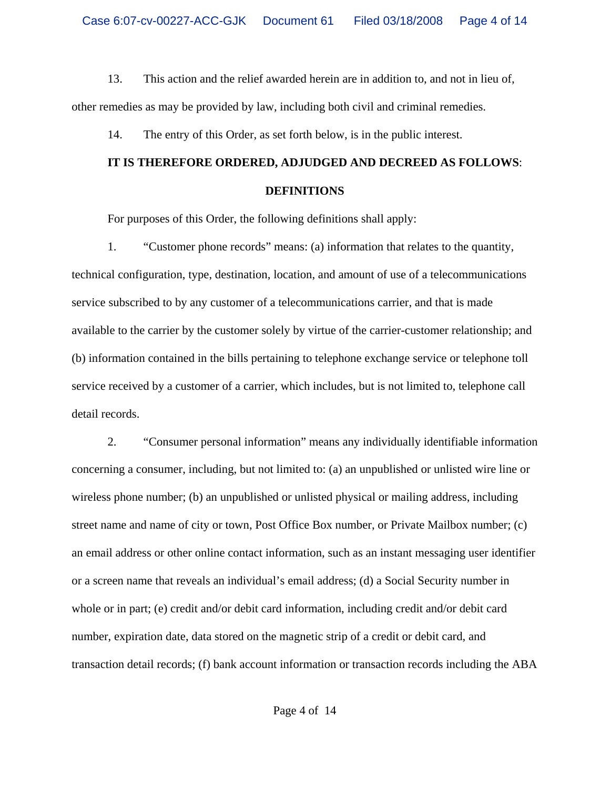13. This action and the relief awarded herein are in addition to, and not in lieu of, other remedies as may be provided by law, including both civil and criminal remedies.

14. The entry of this Order, as set forth below, is in the public interest.

# **IT IS THEREFORE ORDERED, ADJUDGED AND DECREED AS FOLLOWS**: **DEFINITIONS**

For purposes of this Order, the following definitions shall apply:

1. "Customer phone records" means: (a) information that relates to the quantity, technical configuration, type, destination, location, and amount of use of a telecommunications service subscribed to by any customer of a telecommunications carrier, and that is made available to the carrier by the customer solely by virtue of the carrier-customer relationship; and (b) information contained in the bills pertaining to telephone exchange service or telephone toll service received by a customer of a carrier, which includes, but is not limited to, telephone call detail records.

2. "Consumer personal information" means any individually identifiable information concerning a consumer, including, but not limited to: (a) an unpublished or unlisted wire line or wireless phone number; (b) an unpublished or unlisted physical or mailing address, including street name and name of city or town, Post Office Box number, or Private Mailbox number; (c) an email address or other online contact information, such as an instant messaging user identifier or a screen name that reveals an individual's email address; (d) a Social Security number in whole or in part; (e) credit and/or debit card information, including credit and/or debit card number, expiration date, data stored on the magnetic strip of a credit or debit card, and transaction detail records; (f) bank account information or transaction records including the ABA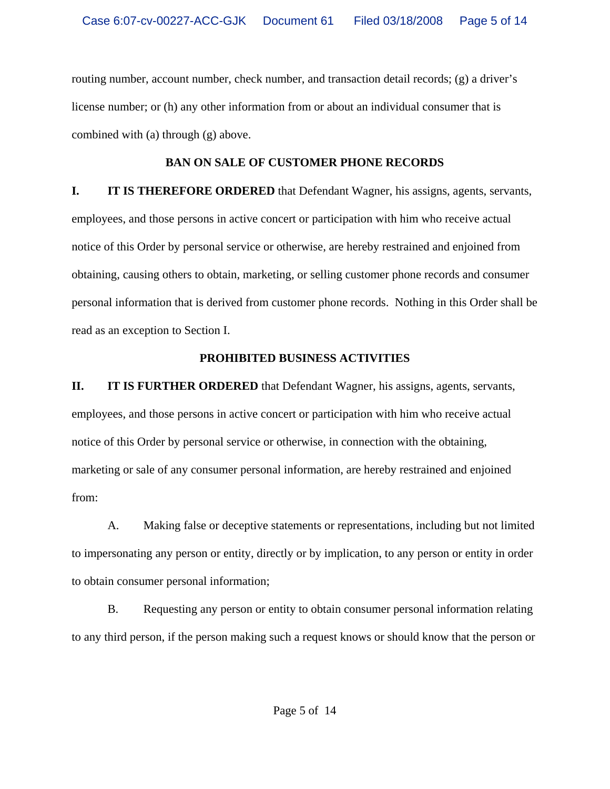routing number, account number, check number, and transaction detail records; (g) a driver's license number; or (h) any other information from or about an individual consumer that is combined with (a) through (g) above.

# **BAN ON SALE OF CUSTOMER PHONE RECORDS**

**I.** IT IS THEREFORE ORDERED that Defendant Wagner, his assigns, agents, servants, employees, and those persons in active concert or participation with him who receive actual notice of this Order by personal service or otherwise, are hereby restrained and enjoined from obtaining, causing others to obtain, marketing, or selling customer phone records and consumer personal information that is derived from customer phone records. Nothing in this Order shall be read as an exception to Section I.

# **PROHIBITED BUSINESS ACTIVITIES**

**II. IT IS FURTHER ORDERED** that Defendant Wagner, his assigns, agents, servants, employees, and those persons in active concert or participation with him who receive actual notice of this Order by personal service or otherwise, in connection with the obtaining, marketing or sale of any consumer personal information, are hereby restrained and enjoined from:

A. Making false or deceptive statements or representations, including but not limited to impersonating any person or entity, directly or by implication, to any person or entity in order to obtain consumer personal information;

B. Requesting any person or entity to obtain consumer personal information relating to any third person, if the person making such a request knows or should know that the person or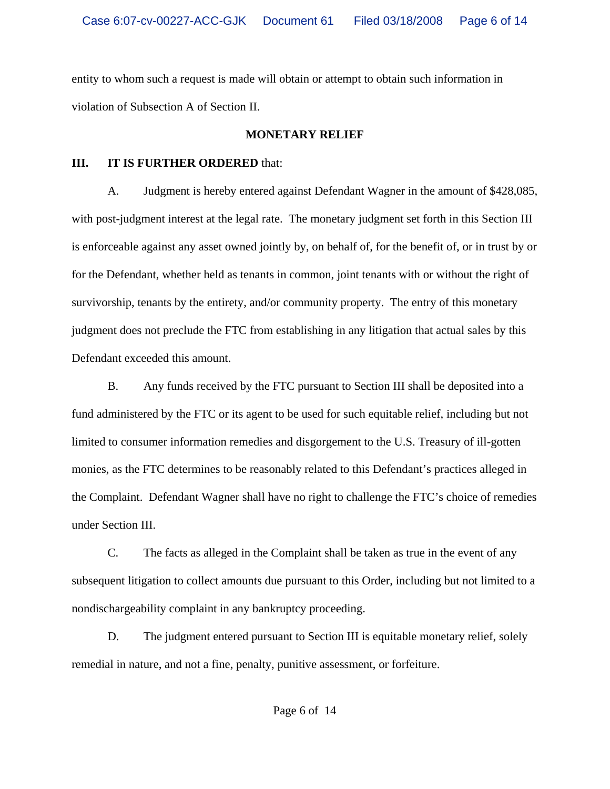entity to whom such a request is made will obtain or attempt to obtain such information in violation of Subsection A of Section II.

# **MONETARY RELIEF**

#### **III. IT IS FURTHER ORDERED** that:

A. Judgment is hereby entered against Defendant Wagner in the amount of \$428,085, with post-judgment interest at the legal rate. The monetary judgment set forth in this Section III is enforceable against any asset owned jointly by, on behalf of, for the benefit of, or in trust by or for the Defendant, whether held as tenants in common, joint tenants with or without the right of survivorship, tenants by the entirety, and/or community property. The entry of this monetary judgment does not preclude the FTC from establishing in any litigation that actual sales by this Defendant exceeded this amount.

B. Any funds received by the FTC pursuant to Section III shall be deposited into a fund administered by the FTC or its agent to be used for such equitable relief, including but not limited to consumer information remedies and disgorgement to the U.S. Treasury of ill-gotten monies, as the FTC determines to be reasonably related to this Defendant's practices alleged in the Complaint. Defendant Wagner shall have no right to challenge the FTC's choice of remedies under Section III.

 C. The facts as alleged in the Complaint shall be taken as true in the event of any subsequent litigation to collect amounts due pursuant to this Order, including but not limited to a nondischargeability complaint in any bankruptcy proceeding.

D. The judgment entered pursuant to Section III is equitable monetary relief, solely remedial in nature, and not a fine, penalty, punitive assessment, or forfeiture.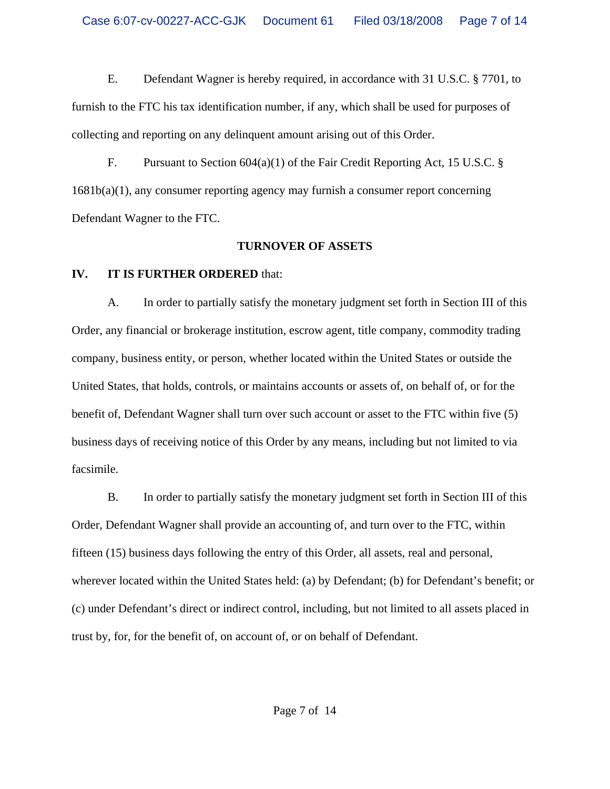E. Defendant Wagner is hereby required, in accordance with 31 U.S.C. § 7701, to furnish to the FTC his tax identification number, if any, which shall be used for purposes of collecting and reporting on any delinquent amount arising out of this Order.

F. Pursuant to Section  $604(a)(1)$  of the Fair Credit Reporting Act, 15 U.S.C. § 1681b(a)(1), any consumer reporting agency may furnish a consumer report concerning Defendant Wagner to the FTC.

#### **TURNOVER OF ASSETS**

# **IV. IT IS FURTHER ORDERED** that:

A. In order to partially satisfy the monetary judgment set forth in Section III of this Order, any financial or brokerage institution, escrow agent, title company, commodity trading company, business entity, or person, whether located within the United States or outside the United States, that holds, controls, or maintains accounts or assets of, on behalf of, or for the benefit of, Defendant Wagner shall turn over such account or asset to the FTC within five (5) business days of receiving notice of this Order by any means, including but not limited to via facsimile.

B. In order to partially satisfy the monetary judgment set forth in Section III of this Order, Defendant Wagner shall provide an accounting of, and turn over to the FTC, within fifteen (15) business days following the entry of this Order, all assets, real and personal, wherever located within the United States held: (a) by Defendant; (b) for Defendant's benefit; or (c) under Defendant's direct or indirect control, including, but not limited to all assets placed in trust by, for, for the benefit of, on account of, or on behalf of Defendant.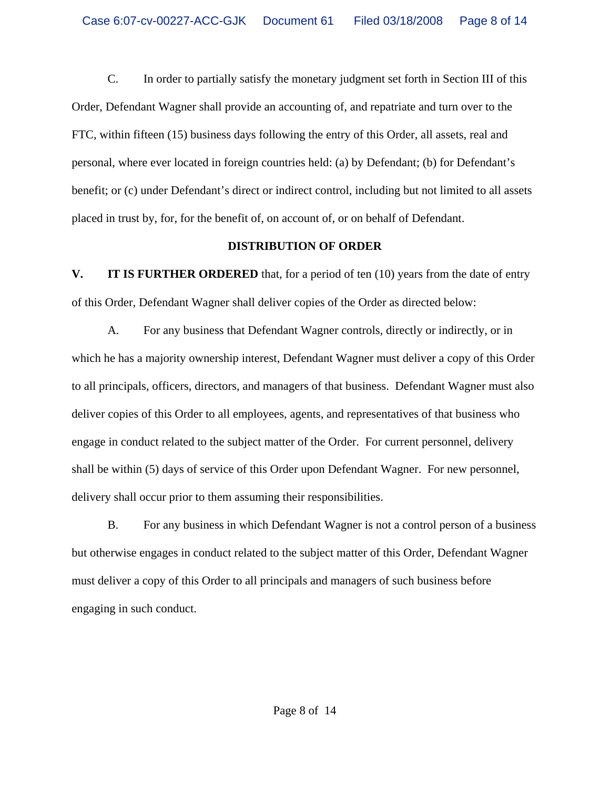C. In order to partially satisfy the monetary judgment set forth in Section III of this Order, Defendant Wagner shall provide an accounting of, and repatriate and turn over to the FTC, within fifteen (15) business days following the entry of this Order, all assets, real and personal, where ever located in foreign countries held: (a) by Defendant; (b) for Defendant's benefit; or (c) under Defendant's direct or indirect control, including but not limited to all assets placed in trust by, for, for the benefit of, on account of, or on behalf of Defendant.

#### **DISTRIBUTION OF ORDER**

**V.** IT IS FURTHER ORDERED that, for a period of ten (10) years from the date of entry of this Order, Defendant Wagner shall deliver copies of the Order as directed below:

A. For any business that Defendant Wagner controls, directly or indirectly, or in which he has a majority ownership interest, Defendant Wagner must deliver a copy of this Order to all principals, officers, directors, and managers of that business. Defendant Wagner must also deliver copies of this Order to all employees, agents, and representatives of that business who engage in conduct related to the subject matter of the Order. For current personnel, delivery shall be within (5) days of service of this Order upon Defendant Wagner. For new personnel, delivery shall occur prior to them assuming their responsibilities.

B. For any business in which Defendant Wagner is not a control person of a business but otherwise engages in conduct related to the subject matter of this Order, Defendant Wagner must deliver a copy of this Order to all principals and managers of such business before engaging in such conduct.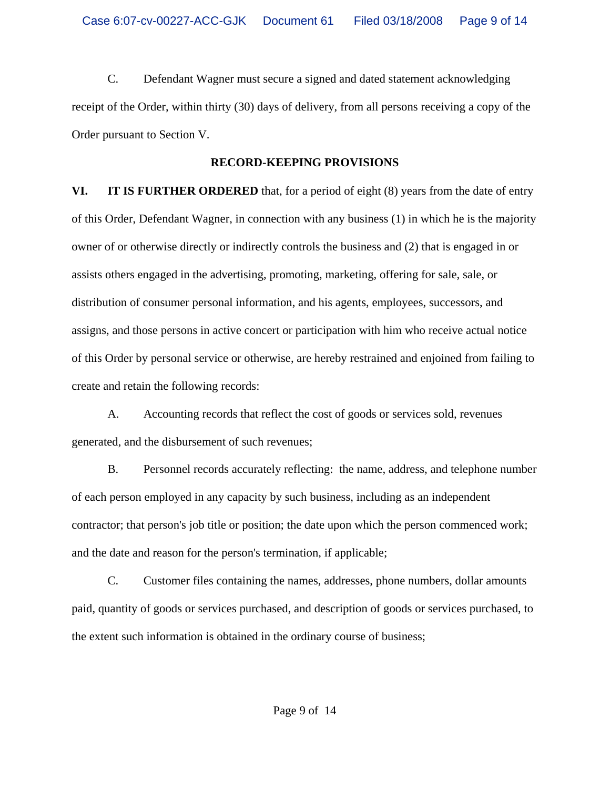C. Defendant Wagner must secure a signed and dated statement acknowledging receipt of the Order, within thirty (30) days of delivery, from all persons receiving a copy of the Order pursuant to Section V.

### **RECORD-KEEPING PROVISIONS**

**VI. IT IS FURTHER ORDERED** that, for a period of eight (8) years from the date of entry of this Order, Defendant Wagner, in connection with any business (1) in which he is the majority owner of or otherwise directly or indirectly controls the business and (2) that is engaged in or assists others engaged in the advertising, promoting, marketing, offering for sale, sale, or distribution of consumer personal information, and his agents, employees, successors, and assigns, and those persons in active concert or participation with him who receive actual notice of this Order by personal service or otherwise, are hereby restrained and enjoined from failing to create and retain the following records:

A. Accounting records that reflect the cost of goods or services sold, revenues generated, and the disbursement of such revenues;

B. Personnel records accurately reflecting: the name, address, and telephone number of each person employed in any capacity by such business, including as an independent contractor; that person's job title or position; the date upon which the person commenced work; and the date and reason for the person's termination, if applicable;

C. Customer files containing the names, addresses, phone numbers, dollar amounts paid, quantity of goods or services purchased, and description of goods or services purchased, to the extent such information is obtained in the ordinary course of business;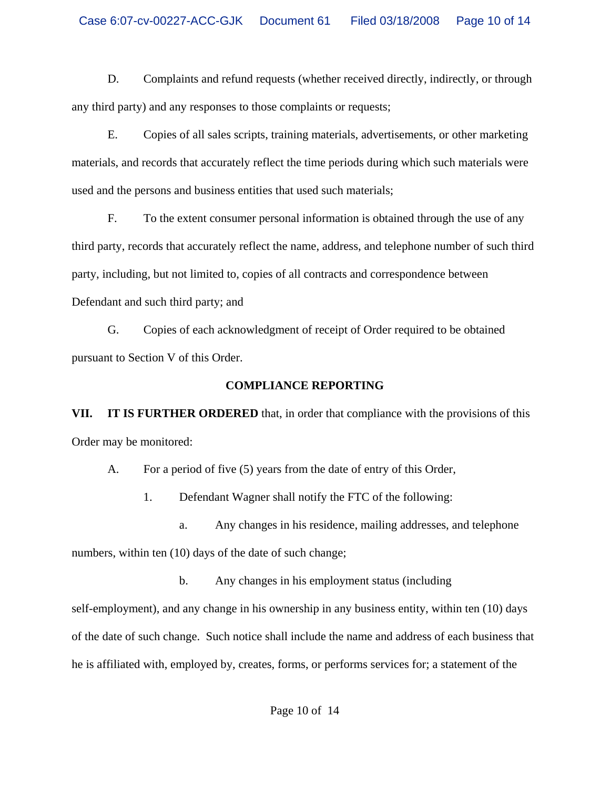D. Complaints and refund requests (whether received directly, indirectly, or through any third party) and any responses to those complaints or requests;

E. Copies of all sales scripts, training materials, advertisements, or other marketing materials, and records that accurately reflect the time periods during which such materials were used and the persons and business entities that used such materials;

F. To the extent consumer personal information is obtained through the use of any third party, records that accurately reflect the name, address, and telephone number of such third party, including, but not limited to, copies of all contracts and correspondence between Defendant and such third party; and

G. Copies of each acknowledgment of receipt of Order required to be obtained pursuant to Section V of this Order.

# **COMPLIANCE REPORTING**

**VII. IT IS FURTHER ORDERED** that, in order that compliance with the provisions of this Order may be monitored:

A. For a period of five (5) years from the date of entry of this Order,

1. Defendant Wagner shall notify the FTC of the following:

a. Any changes in his residence, mailing addresses, and telephone numbers, within ten (10) days of the date of such change;

b. Any changes in his employment status (including

self-employment), and any change in his ownership in any business entity, within ten (10) days of the date of such change. Such notice shall include the name and address of each business that he is affiliated with, employed by, creates, forms, or performs services for; a statement of the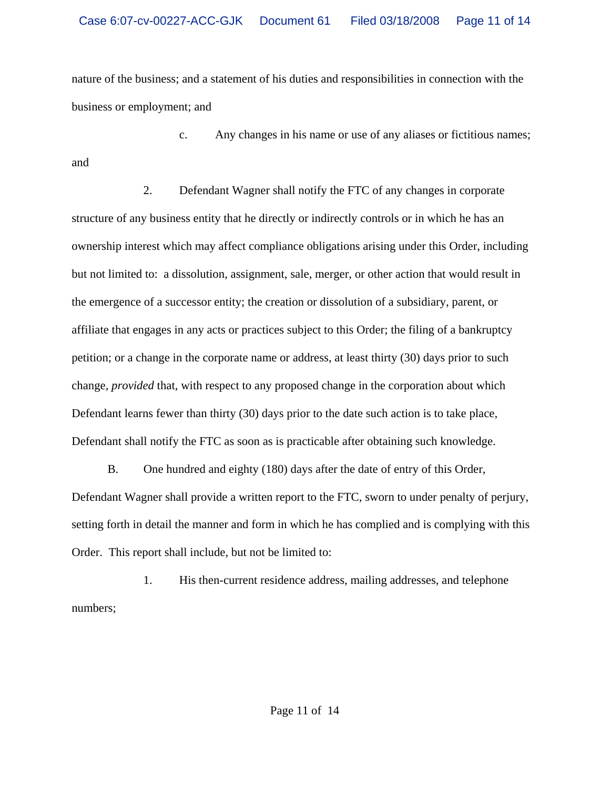nature of the business; and a statement of his duties and responsibilities in connection with the business or employment; and

c. Any changes in his name or use of any aliases or fictitious names; and

2. Defendant Wagner shall notify the FTC of any changes in corporate structure of any business entity that he directly or indirectly controls or in which he has an ownership interest which may affect compliance obligations arising under this Order, including but not limited to: a dissolution, assignment, sale, merger, or other action that would result in the emergence of a successor entity; the creation or dissolution of a subsidiary, parent, or affiliate that engages in any acts or practices subject to this Order; the filing of a bankruptcy petition; or a change in the corporate name or address, at least thirty (30) days prior to such change, *provided* that, with respect to any proposed change in the corporation about which Defendant learns fewer than thirty (30) days prior to the date such action is to take place, Defendant shall notify the FTC as soon as is practicable after obtaining such knowledge.

B. One hundred and eighty (180) days after the date of entry of this Order, Defendant Wagner shall provide a written report to the FTC, sworn to under penalty of perjury, setting forth in detail the manner and form in which he has complied and is complying with this Order. This report shall include, but not be limited to:

1. His then-current residence address, mailing addresses, and telephone numbers;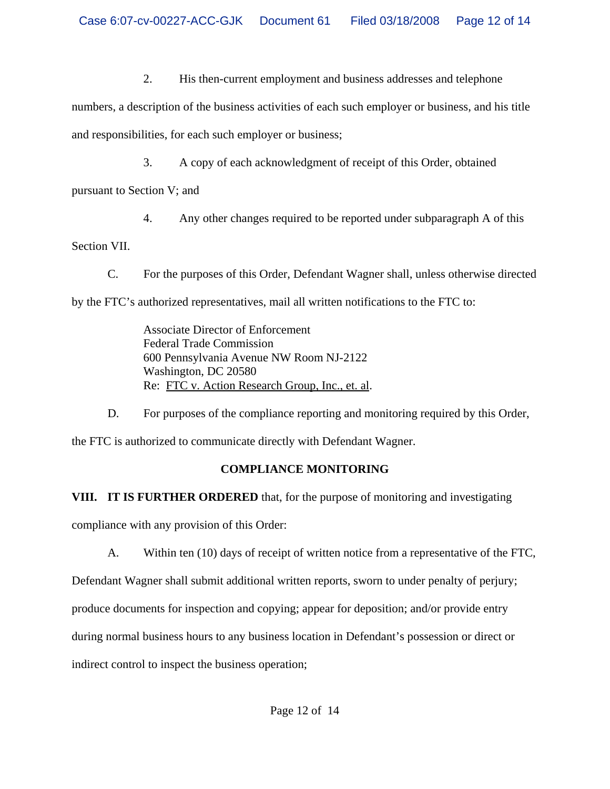2. His then-current employment and business addresses and telephone

numbers, a description of the business activities of each such employer or business, and his title and responsibilities, for each such employer or business;

3. A copy of each acknowledgment of receipt of this Order, obtained

pursuant to Section V; and

4. Any other changes required to be reported under subparagraph A of this

Section VII.

C. For the purposes of this Order, Defendant Wagner shall, unless otherwise directed by the FTC's authorized representatives, mail all written notifications to the FTC to:

> Associate Director of Enforcement Federal Trade Commission 600 Pennsylvania Avenue NW Room NJ-2122 Washington, DC 20580 Re: FTC v. Action Research Group, Inc., et. al.

D. For purposes of the compliance reporting and monitoring required by this Order,

the FTC is authorized to communicate directly with Defendant Wagner.

# **COMPLIANCE MONITORING**

**VIII. IT IS FURTHER ORDERED** that, for the purpose of monitoring and investigating compliance with any provision of this Order:

A. Within ten (10) days of receipt of written notice from a representative of the FTC,

Defendant Wagner shall submit additional written reports, sworn to under penalty of perjury;

produce documents for inspection and copying; appear for deposition; and/or provide entry

during normal business hours to any business location in Defendant's possession or direct or

indirect control to inspect the business operation;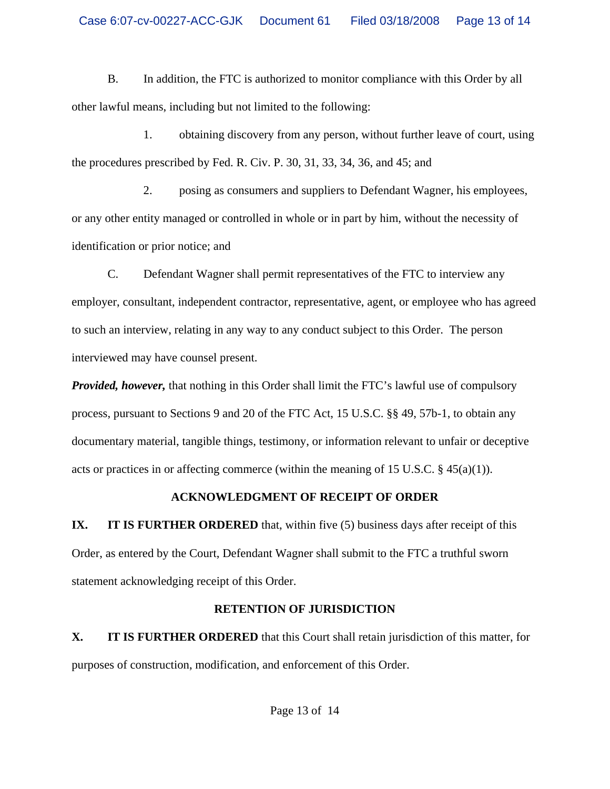B. In addition, the FTC is authorized to monitor compliance with this Order by all other lawful means, including but not limited to the following:

1. obtaining discovery from any person, without further leave of court, using the procedures prescribed by Fed. R. Civ. P. 30, 31, 33, 34, 36, and 45; and

2. posing as consumers and suppliers to Defendant Wagner, his employees, or any other entity managed or controlled in whole or in part by him, without the necessity of identification or prior notice; and

C. Defendant Wagner shall permit representatives of the FTC to interview any employer, consultant, independent contractor, representative, agent, or employee who has agreed to such an interview, relating in any way to any conduct subject to this Order. The person interviewed may have counsel present.

*Provided, however,* that nothing in this Order shall limit the FTC's lawful use of compulsory process, pursuant to Sections 9 and 20 of the FTC Act, 15 U.S.C. §§ 49, 57b-1, to obtain any documentary material, tangible things, testimony, or information relevant to unfair or deceptive acts or practices in or affecting commerce (within the meaning of 15 U.S.C.  $\S$  45(a)(1)).

# **ACKNOWLEDGMENT OF RECEIPT OF ORDER**

**IX. IT IS FURTHER ORDERED** that, within five (5) business days after receipt of this Order, as entered by the Court, Defendant Wagner shall submit to the FTC a truthful sworn statement acknowledging receipt of this Order.

# **RETENTION OF JURISDICTION**

**X. IT IS FURTHER ORDERED** that this Court shall retain jurisdiction of this matter, for purposes of construction, modification, and enforcement of this Order.